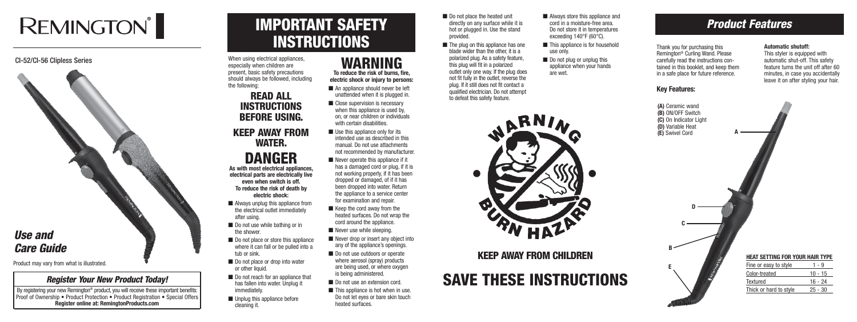# **REMINGTON®**

#### CI-52/CI-56 Clipless Series

# IMPORTANT SAFETY **INSTRUCTIONS**

SAVE THESE INSTRUCTIONS

When using electrical appliances. especially when children are present, basic safety precautions should always be followed, including the following:

# READ ALL INSTRUCTIONS BEFORE USING.

# KEEP AWAY FROM WATER.

#### DANGER **As with most electrical appliances, electrical parts are electrically live even when switch is off.**

- Always unplug this appliance from the electrical outlet immediately after using.
- Do not use while bathing or in the shower.
- Do not place or store this appliance where it can fall or be pulled into a tub or sink.
- Do not place or drop into water or other liquid.
- Do not reach for an appliance that has fallen into water. Unplug it immediately.
- Unplug this appliance before cleaning it.

**To reduce the risk of death by electric shock:**

- Do not place the heated unit directly on any surface while it is hot or plugged in. Use the stand provided.
- The plug on this appliance has one blade wider than the other, it is a polarized plug. As a safety feature, this plug will fit in a polarized outlet only one way. If the plug does not fit fully in the outlet, reverse the plug. If it still does not fit contact a qualified electrician. Do not attempt to defeat this safety feature.
- This appliance is for household use only.
- Do not plug or unplug this appliance when your hands are wet.





**electric shock or injury to persons:** ■ An appliance should never be left



By registering your new Remington® product, you will receive these important benefits: Proof of Ownership • Product Protection • Product Registration • Special Offers **Register online at: RemingtonProducts.com**

## WARNING **To reduce the risk of burns, fire,**

- unattended when it is plugged in.
- Close supervision is necessary when this appliance is used by, on, or near children or individuals with certain disabilities.
- $\blacksquare$  Use this appliance only for its intended use as described in this manual. Do not use attachments not recommended by manufacturer.
- $\blacksquare$  Never operate this appliance if it has a damaged cord or plug, if it is not working properly, if it has been dropped or damaged, of if it has been dropped into water. Return the appliance to a service center for examination and repair.
- Keep the cord away from the heated surfaces. Do not wrap the cord around the appliance.
- Never use while sleeping.
- Never drop or insert any object into any of the appliance's openings.
- Do not use outdoors or operate where aerosol (spray) products are being used, or where oxygen is being administered.
- Do not use an extension cord.
- This appliance is hot when in use. Do not let eyes or bare skin touch heated surfaces.

KEEP AWAY FROM CHILDREN

# *Product Features*



## *Register Your New Product Today!*

Thank you for purchasing this Remington® Curling Wand. Please carefully read the instructions contained in this booklet, and keep them in a safe place for future reference.

#### **Key Features:**

#### **Automatic shutoff:**

This styler is equipped with automatic shut-off. This safety feature turns the unit off after 60 minutes, in case you accidentally leave it on after styling your hair.



Product may vary from what is illustrated.